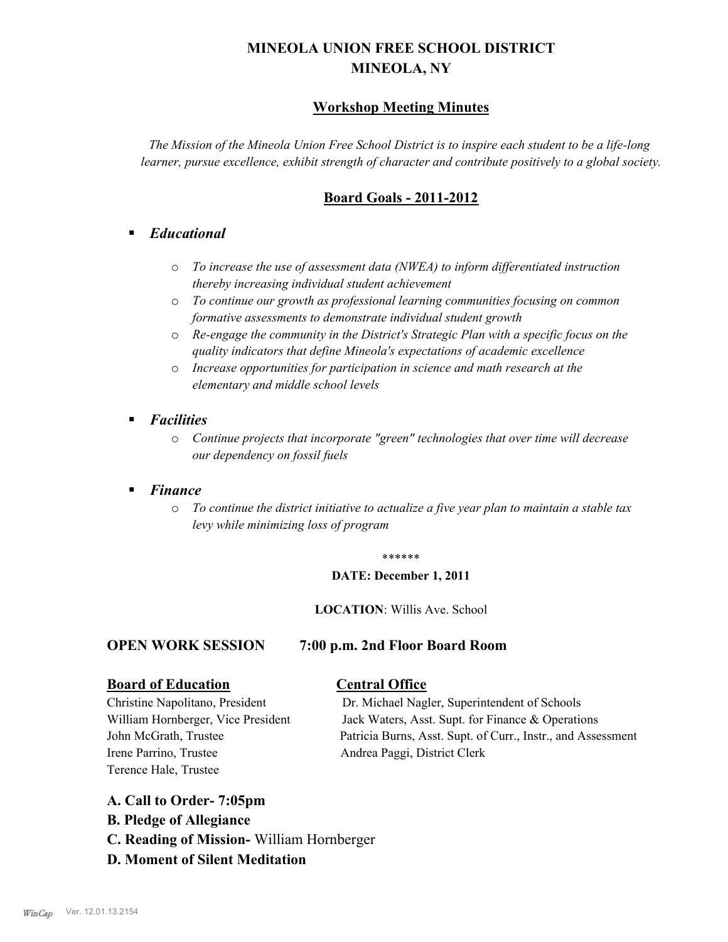# **MINEOLA UNION FREE SCHOOL DISTRICT MINEOLA, NY**

## **Workshop Meeting Minutes**

*The Mission of the Mineola Union Free School District is to inspire each student to be a life-long learner, pursue excellence, exhibit strength of character and contribute positively to a global society.*

## **Board Goals - 2011-2012**

## § *Educational*

- o *To increase the use of assessment data (NWEA) to inform differentiated instruction thereby increasing individual student achievement*
- o *To continue our growth as professional learning communities focusing on common formative assessments to demonstrate individual student growth*
- o *Re-engage the community in the District's Strategic Plan with a specific focus on the quality indicators that define Mineola's expectations of academic excellence*
- o *Increase opportunities for participation in science and math research at the elementary and middle school levels*
- *Facilities* 
	- o *Continue projects that incorporate "green" technologies that over time will decrease our dependency on fossil fuels*

## § *Finance*

o *To continue the district initiative to actualize a five year plan to maintain a stable tax levy while minimizing loss of program*

#### \*\*\*\*\*\*

#### **DATE: December 1, 2011**

#### **LOCATION**: Willis Ave. School

#### **OPEN WORK SESSION 7:00 p.m. 2nd Floor Board Room**

### **Board of Education Central Office**

Irene Parrino, Trustee Andrea Paggi, District Clerk Terence Hale, Trustee

Christine Napolitano, President Dr. Michael Nagler, Superintendent of Schools William Hornberger, Vice President Jack Waters, Asst. Supt. for Finance & Operations John McGrath, Trustee Patricia Burns, Asst. Supt. of Curr., Instr., and Assessment

### **A. Call to Order- 7:05pm**

- **B. Pledge of Allegiance**
- **C. Reading of Mission-** William Hornberger
- **D. Moment of Silent Meditation**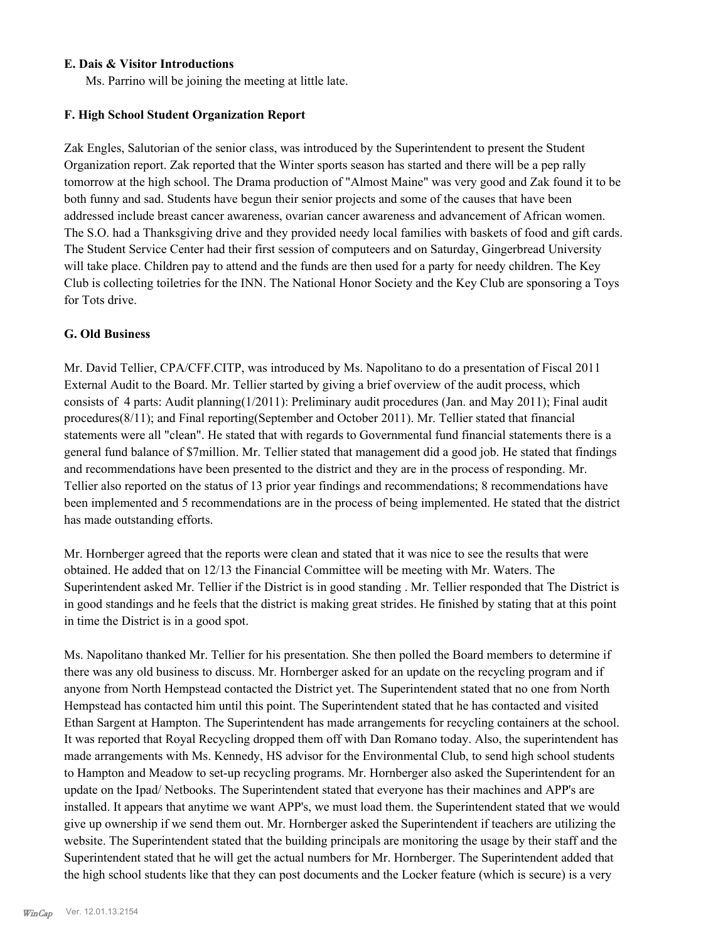### **E. Dais & Visitor Introductions**

Ms. Parrino will be joining the meeting at little late.

### **F. High School Student Organization Report**

Zak Engles, Salutorian of the senior class, was introduced by the Superintendent to present the Student Organization report. Zak reported that the Winter sports season has started and there will be a pep rally tomorrow at the high school. The Drama production of "Almost Maine" was very good and Zak found it to be both funny and sad. Students have begun their senior projects and some of the causes that have been addressed include breast cancer awareness, ovarian cancer awareness and advancement of African women. The S.O. had a Thanksgiving drive and they provided needy local families with baskets of food and gift cards. The Student Service Center had their first session of computeers and on Saturday, Gingerbread University will take place. Children pay to attend and the funds are then used for a party for needy children. The Key Club is collecting toiletries for the INN. The National Honor Society and the Key Club are sponsoring a Toys for Tots drive.

#### **G. Old Business**

Mr. David Tellier, CPA/CFF.CITP, was introduced by Ms. Napolitano to do a presentation of Fiscal 2011 External Audit to the Board. Mr. Tellier started by giving a brief overview of the audit process, which consists of 4 parts: Audit planning(1/2011): Preliminary audit procedures (Jan. and May 2011); Final audit procedures(8/11); and Final reporting(September and October 2011). Mr. Tellier stated that financial statements were all "clean". He stated that with regards to Governmental fund financial statements there is a general fund balance of \$7million. Mr. Tellier stated that management did a good job. He stated that findings and recommendations have been presented to the district and they are in the process of responding. Mr. Tellier also reported on the status of 13 prior year findings and recommendations; 8 recommendations have been implemented and 5 recommendations are in the process of being implemented. He stated that the district has made outstanding efforts.

Mr. Hornberger agreed that the reports were clean and stated that it was nice to see the results that were obtained. He added that on 12/13 the Financial Committee will be meeting with Mr. Waters. The Superintendent asked Mr. Tellier if the District is in good standing . Mr. Tellier responded that The District is in good standings and he feels that the district is making great strides. He finished by stating that at this point in time the District is in a good spot.

Ms. Napolitano thanked Mr. Tellier for his presentation. She then polled the Board members to determine if there was any old business to discuss. Mr. Hornberger asked for an update on the recycling program and if anyone from North Hempstead contacted the District yet. The Superintendent stated that no one from North Hempstead has contacted him until this point. The Superintendent stated that he has contacted and visited Ethan Sargent at Hampton. The Superintendent has made arrangements for recycling containers at the school. It was reported that Royal Recycling dropped them off with Dan Romano today. Also, the superintendent has made arrangements with Ms. Kennedy, HS advisor for the Environmental Club, to send high school students to Hampton and Meadow to set-up recycling programs. Mr. Hornberger also asked the Superintendent for an update on the Ipad/ Netbooks. The Superintendent stated that everyone has their machines and APP's are installed. It appears that anytime we want APP's, we must load them. the Superintendent stated that we would give up ownership if we send them out. Mr. Hornberger asked the Superintendent if teachers are utilizing the website. The Superintendent stated that the building principals are monitoring the usage by their staff and the Superintendent stated that he will get the actual numbers for Mr. Hornberger. The Superintendent added that the high school students like that they can post documents and the Locker feature (which is secure) is a very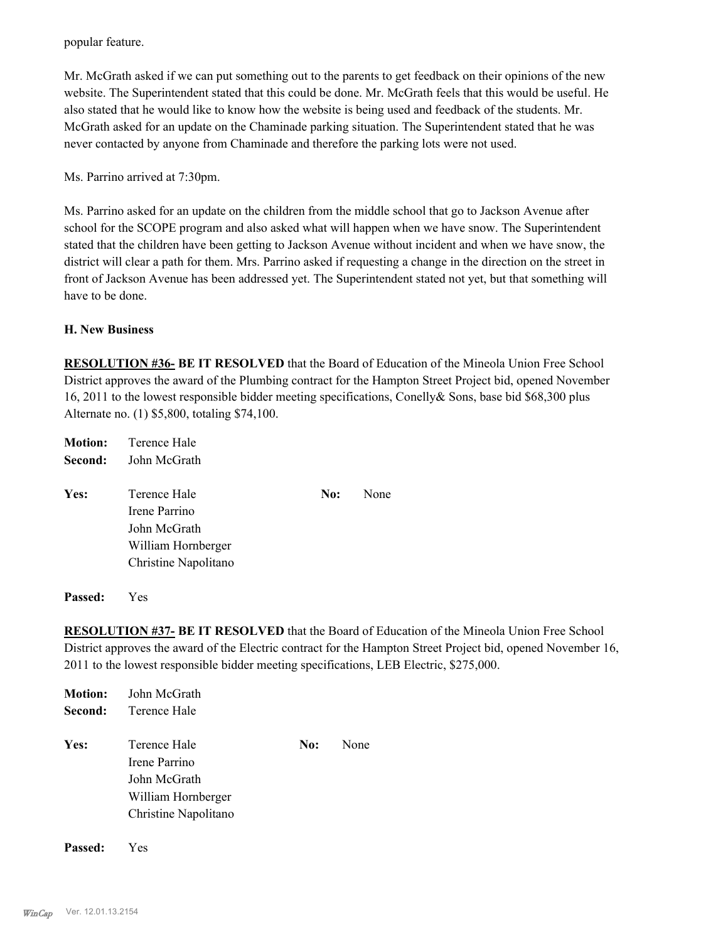popular feature.

Mr. McGrath asked if we can put something out to the parents to get feedback on their opinions of the new website. The Superintendent stated that this could be done. Mr. McGrath feels that this would be useful. He also stated that he would like to know how the website is being used and feedback of the students. Mr. McGrath asked for an update on the Chaminade parking situation. The Superintendent stated that he was never contacted by anyone from Chaminade and therefore the parking lots were not used.

Ms. Parrino arrived at 7:30pm.

Ms. Parrino asked for an update on the children from the middle school that go to Jackson Avenue after school for the SCOPE program and also asked what will happen when we have snow. The Superintendent stated that the children have been getting to Jackson Avenue without incident and when we have snow, the district will clear a path for them. Mrs. Parrino asked if requesting a change in the direction on the street in front of Jackson Avenue has been addressed yet. The Superintendent stated not yet, but that something will have to be done.

#### **H. New Business**

**RESOLUTION #36- BE IT RESOLVED** that the Board of Education of the Mineola Union Free School District approves the award of the Plumbing contract for the Hampton Street Project bid, opened November 16, 2011 to the lowest responsible bidder meeting specifications, Conelly& Sons, base bid \$68,300 plus Alternate no. (1) \$5,800, totaling \$74,100.

|         | <b>Motion:</b> Terence Hale                                         |     |      |
|---------|---------------------------------------------------------------------|-----|------|
| Second: | John McGrath                                                        |     |      |
| Yes:    | Terence Hale<br>Irene Parrino<br>John McGrath<br>William Hornberger | No: | None |
|         | Christine Napolitano                                                |     |      |

**Passed:** Yes

**RESOLUTION #37- BE IT RESOLVED** that the Board of Education of the Mineola Union Free School District approves the award of the Electric contract for the Hampton Street Project bid, opened November 16, 2011 to the lowest responsible bidder meeting specifications, LEB Electric, \$275,000.

| <b>Motion:</b> | John McGrath         |     |      |
|----------------|----------------------|-----|------|
| Second:        | Terence Hale         |     |      |
| Yes:           | Terence Hale         | No: | None |
|                | Irene Parrino        |     |      |
|                | John McGrath         |     |      |
|                | William Hornberger   |     |      |
|                | Christine Napolitano |     |      |
|                |                      |     |      |

**Passed:** Yes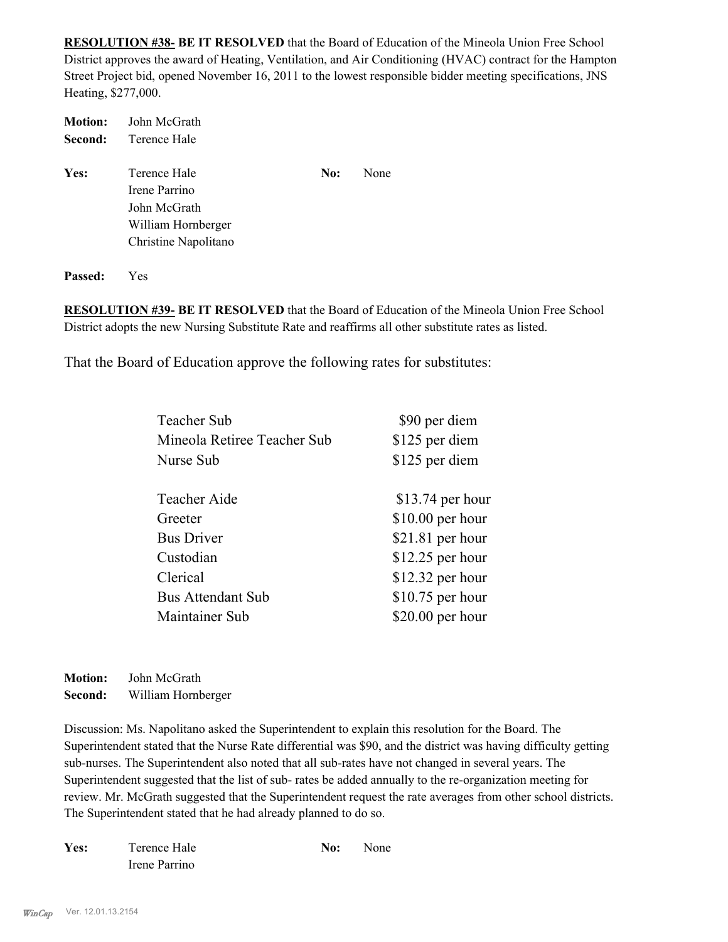**RESOLUTION #38- BE IT RESOLVED** that the Board of Education of the Mineola Union Free School District approves the award of Heating, Ventilation, and Air Conditioning (HVAC) contract for the Hampton Street Project bid, opened November 16, 2011 to the lowest responsible bidder meeting specifications, JNS Heating, \$277,000.

| <b>Motion:</b> | John McGrath         |     |      |
|----------------|----------------------|-----|------|
| Second:        | Terence Hale         |     |      |
| Yes:           | Terence Hale         | No: | None |
|                | Irene Parrino        |     |      |
|                | John McGrath         |     |      |
|                | William Hornberger   |     |      |
|                | Christine Napolitano |     |      |
|                |                      |     |      |
|                |                      |     |      |

**RESOLUTION #39- BE IT RESOLVED** that the Board of Education of the Mineola Union Free School District adopts the new Nursing Substitute Rate and reaffirms all other substitute rates as listed.

That the Board of Education approve the following rates for substitutes:

| <b>Teacher Sub</b>          | \$90 per diem     |
|-----------------------------|-------------------|
| Mineola Retiree Teacher Sub | \$125 per diem    |
| Nurse Sub                   | \$125 per diem    |
| Teacher Aide                | $$13.74$ per hour |
| Greeter                     | $$10.00$ per hour |
| <b>Bus Driver</b>           | $$21.81$ per hour |
| Custodian                   | \$12.25 per hour  |
| Clerical                    | $$12.32$ per hour |
| <b>Bus Attendant Sub</b>    | \$10.75 per hour  |
| Maintainer Sub              | $$20.00$ per hour |
|                             |                   |

**Motion:** John McGrath **Second:** William Hornberger

**Passed:** Yes

Discussion: Ms. Napolitano asked the Superintendent to explain this resolution for the Board. The Superintendent stated that the Nurse Rate differential was \$90, and the district was having difficulty getting sub-nurses. The Superintendent also noted that all sub-rates have not changed in several years. The Superintendent suggested that the list of sub- rates be added annually to the re-organization meeting for review. Mr. McGrath suggested that the Superintendent request the rate averages from other school districts. The Superintendent stated that he had already planned to do so.

| Yes: | Terence Hale  | No: | <b>None</b> |
|------|---------------|-----|-------------|
|      | Irene Parrino |     |             |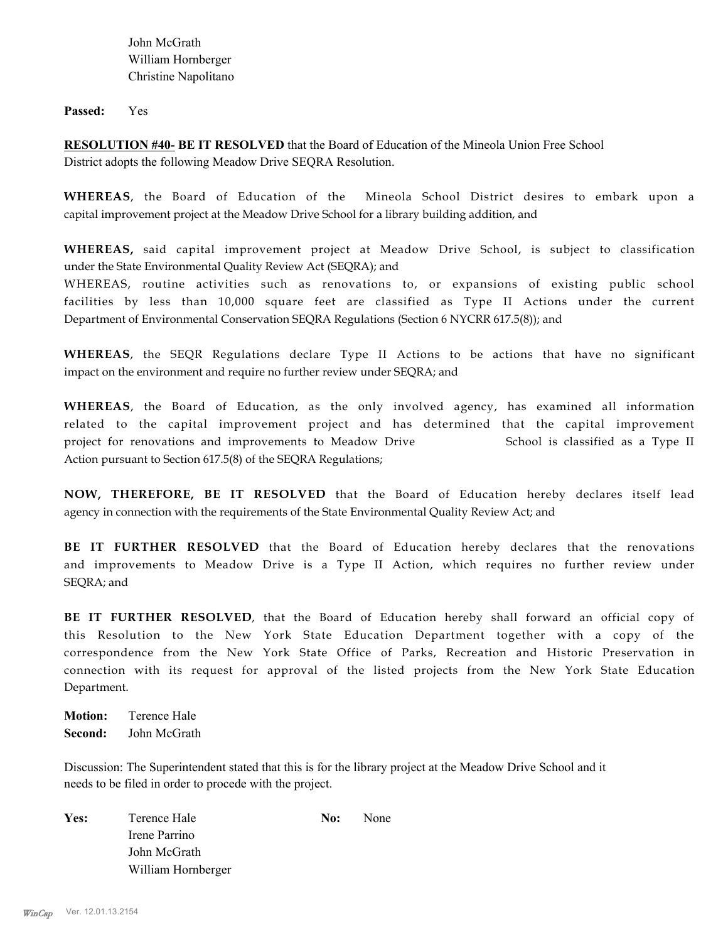John McGrath William Hornberger Christine Napolitano

**Passed:** Yes

**RESOLUTION #40- BE IT RESOLVED** that the Board of Education of the Mineola Union Free School District adopts the following Meadow Drive SEQRA Resolution.

**WHEREAS**, the Board of Education of the Mineola School District desires to embark upon a capital improvement project at the Meadow Drive School for a library building addition, and

**WHEREAS,** said capital improvement project at Meadow Drive School, is subject to classification under the State Environmental Quality Review Act (SEQRA); and

WHEREAS, routine activities such as renovations to, or expansions of existing public school facilities by less than 10,000 square feet are classified as Type II Actions under the current Department of Environmental Conservation SEQRA Regulations (Section 6 NYCRR 617.5(8)); and

**WHEREAS**, the SEQR Regulations declare Type II Actions to be actions that have no significant impact on the environment and require no further review under SEQRA; and

**WHEREAS**, the Board of Education, as the only involved agency, has examined all information related to the capital improvement project and has determined that the capital improvement project for renovations and improvements to Meadow Drive School is classified as a Type II Action pursuant to Section 617.5(8) of the SEQRA Regulations;

**NOW, THEREFORE, BE IT RESOLVED** that the Board of Education hereby declares itself lead agency in connection with the requirements of the State Environmental Quality Review Act; and

**BE IT FURTHER RESOLVED** that the Board of Education hereby declares that the renovations and improvements to Meadow Drive is a Type II Action, which requires no further review under SEQRA; and

**BE IT FURTHER RESOLVED**, that the Board of Education hereby shall forward an official copy of this Resolution to the New York State Education Department together with a copy of the correspondence from the New York State Office of Parks, Recreation and Historic Preservation in connection with its request for approval of the listed projects from the New York State Education Department.

**Motion:** Terence Hale **Second:** John McGrath

Discussion: The Superintendent stated that this is for the library project at the Meadow Drive School and it needs to be filed in order to procede with the project.

| Yes: | Terence Hale       | No: | None |
|------|--------------------|-----|------|
|      | Irene Parrino      |     |      |
|      | John McGrath       |     |      |
|      | William Hornberger |     |      |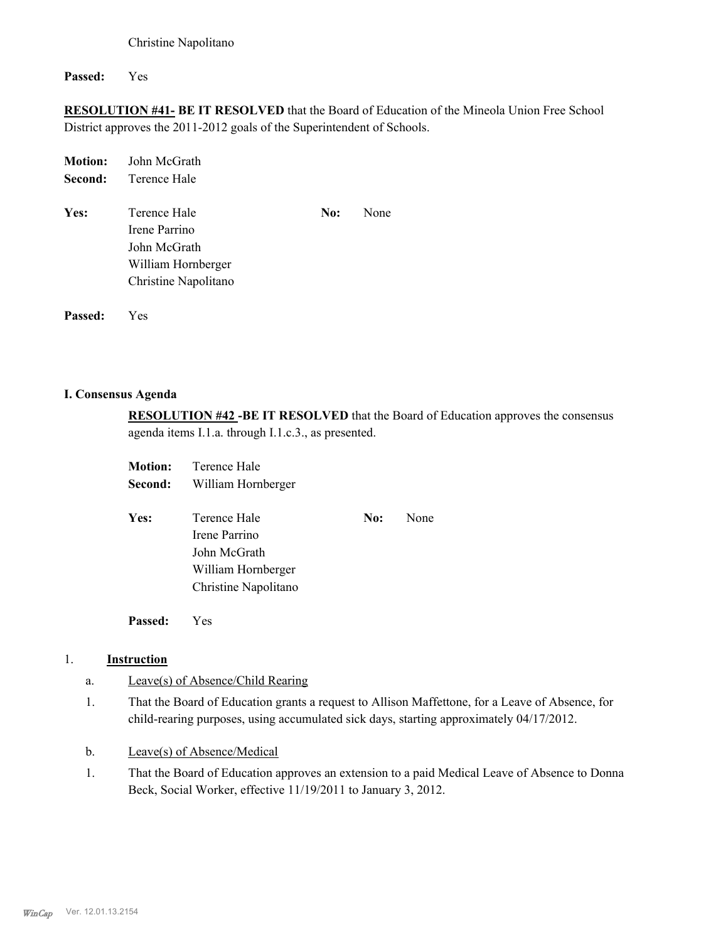Christine Napolitano

**Passed:** Yes

**RESOLUTION #41- BE IT RESOLVED** that the Board of Education of the Mineola Union Free School District approves the 2011-2012 goals of the Superintendent of Schools.

| <b>Motion:</b> | John McGrath         |     |      |
|----------------|----------------------|-----|------|
| Second:        | Terence Hale         |     |      |
| Yes:           | Terence Hale         | No: | None |
|                | Irene Parrino        |     |      |
|                | John McGrath         |     |      |
|                | William Hornberger   |     |      |
|                | Christine Napolitano |     |      |
|                |                      |     |      |
|                |                      |     |      |

**I. Consensus Agenda**

**Passed:** Yes

**RESOLUTION #42 -BE IT RESOLVED** that the Board of Education approves the consensus agenda items I.1.a. through I.1.c.3., as presented.

| <b>Motion:</b> | Terence Hale         |     |      |
|----------------|----------------------|-----|------|
| Second:        | William Hornberger   |     |      |
| Yes:           | Terence Hale         | No: | None |
|                | Irene Parrino        |     |      |
|                | John McGrath         |     |      |
|                | William Hornberger   |     |      |
|                | Christine Napolitano |     |      |
|                |                      |     |      |

**Passed:** Yes

### 1. **Instruction**

- a. Leave(s) of Absence/Child Rearing
- That the Board of Education grants a request to Allison Maffettone, for a Leave of Absence, for child-rearing purposes, using accumulated sick days, starting approximately 04/17/2012. 1.
- b. Leave(s) of Absence/Medical
- That the Board of Education approves an extension to a paid Medical Leave of Absence to Donna Beck, Social Worker, effective 11/19/2011 to January 3, 2012. 1.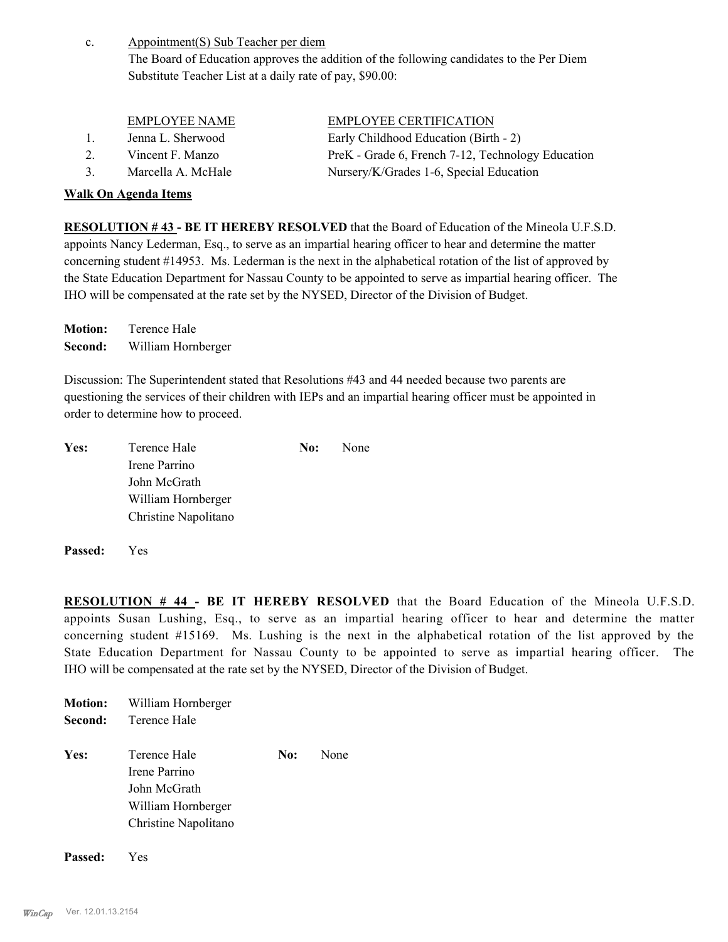Appointment(S) Sub Teacher per diem The Board of Education approves the addition of the following candidates to the Per Diem Substitute Teacher List at a daily rate of pay, \$90.00: c.

| <b>EMPLOYEE NAME</b> | <b>EMPLOYEE CERTIFICATION</b> |
|----------------------|-------------------------------|
|                      |                               |

- 1. Jenna L. Sherwood Early Childhood Education (Birth 2)
- 
- 

### **Walk On Agenda Items**

2. Vincent F. Manzo PreK - Grade 6, French 7-12, Technology Education 3. Marcella A. McHale Nursery/K/Grades 1-6, Special Education

**RESOLUTION # 43 - BE IT HEREBY RESOLVED** that the Board of Education of the Mineola U.F.S.D. appoints Nancy Lederman, Esq., to serve as an impartial hearing officer to hear and determine the matter concerning student #14953. Ms. Lederman is the next in the alphabetical rotation of the list of approved by the State Education Department for Nassau County to be appointed to serve as impartial hearing officer. The IHO will be compensated at the rate set by the NYSED, Director of the Division of Budget.

**Motion:** Terence Hale **Second:** William Hornberger

Discussion: The Superintendent stated that Resolutions #43 and 44 needed because two parents are questioning the services of their children with IEPs and an impartial hearing officer must be appointed in order to determine how to proceed.

| Yes: | Terence Hale         | No: | <b>None</b> |
|------|----------------------|-----|-------------|
|      | Irene Parrino        |     |             |
|      | John McGrath         |     |             |
|      | William Hornberger   |     |             |
|      | Christine Napolitano |     |             |
|      |                      |     |             |

**Passed:** Yes

**RESOLUTION # 44 - BE IT HEREBY RESOLVED** that the Board Education of the Mineola U.F.S.D. appoints Susan Lushing, Esq., to serve as an impartial hearing officer to hear and determine the matter concerning student #15169. Ms. Lushing is the next in the alphabetical rotation of the list approved by the State Education Department for Nassau County to be appointed to serve as impartial hearing officer. The IHO will be compensated at the rate set by the NYSED, Director of the Division of Budget.

| Terence Hale<br>Second:<br>Yes:<br>Terence Hale<br>No:<br>Irene Parrino<br>John McGrath<br>William Hornberger<br>Christine Napolitano |      |
|---------------------------------------------------------------------------------------------------------------------------------------|------|
|                                                                                                                                       |      |
|                                                                                                                                       | None |

**Passed:** Yes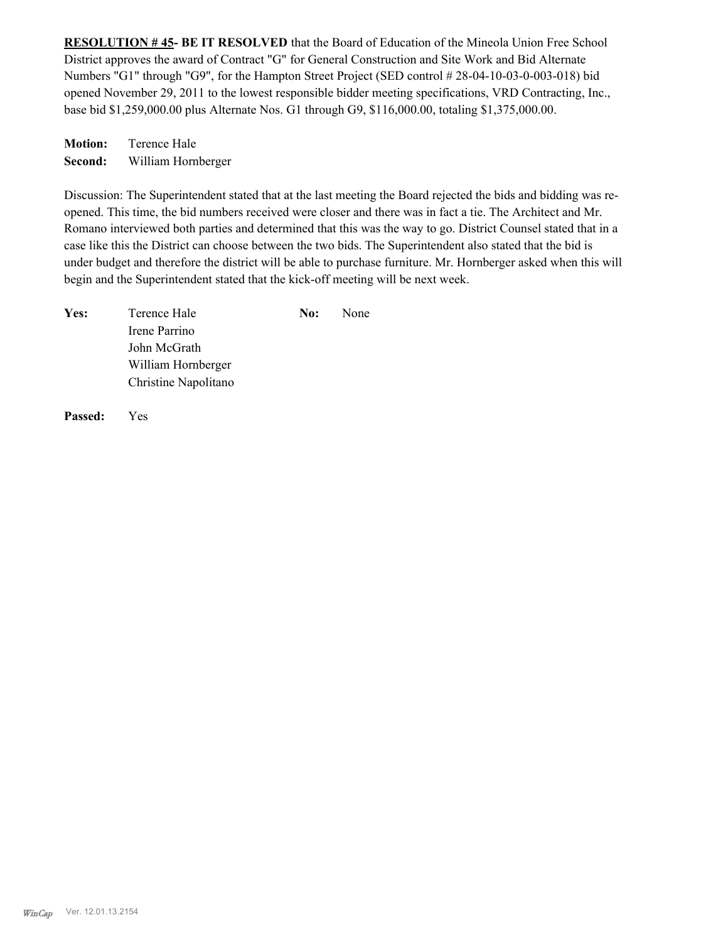**RESOLUTION # 45- BE IT RESOLVED** that the Board of Education of the Mineola Union Free School District approves the award of Contract "G" for General Construction and Site Work and Bid Alternate Numbers "G1" through "G9", for the Hampton Street Project (SED control # 28-04-10-03-0-003-018) bid opened November 29, 2011 to the lowest responsible bidder meeting specifications, VRD Contracting, Inc., base bid \$1,259,000.00 plus Alternate Nos. G1 through G9, \$116,000.00, totaling \$1,375,000.00.

**Motion:** Terence Hale **Second:** William Hornberger

Discussion: The Superintendent stated that at the last meeting the Board rejected the bids and bidding was reopened. This time, the bid numbers received were closer and there was in fact a tie. The Architect and Mr. Romano interviewed both parties and determined that this was the way to go. District Counsel stated that in a case like this the District can choose between the two bids. The Superintendent also stated that the bid is under budget and therefore the district will be able to purchase furniture. Mr. Hornberger asked when this will begin and the Superintendent stated that the kick-off meeting will be next week.

| Yes: | Terence Hale         | No: | <b>None</b> |
|------|----------------------|-----|-------------|
|      | Irene Parrino        |     |             |
|      | John McGrath         |     |             |
|      | William Hornberger   |     |             |
|      | Christine Napolitano |     |             |
|      |                      |     |             |

**Passed:** Yes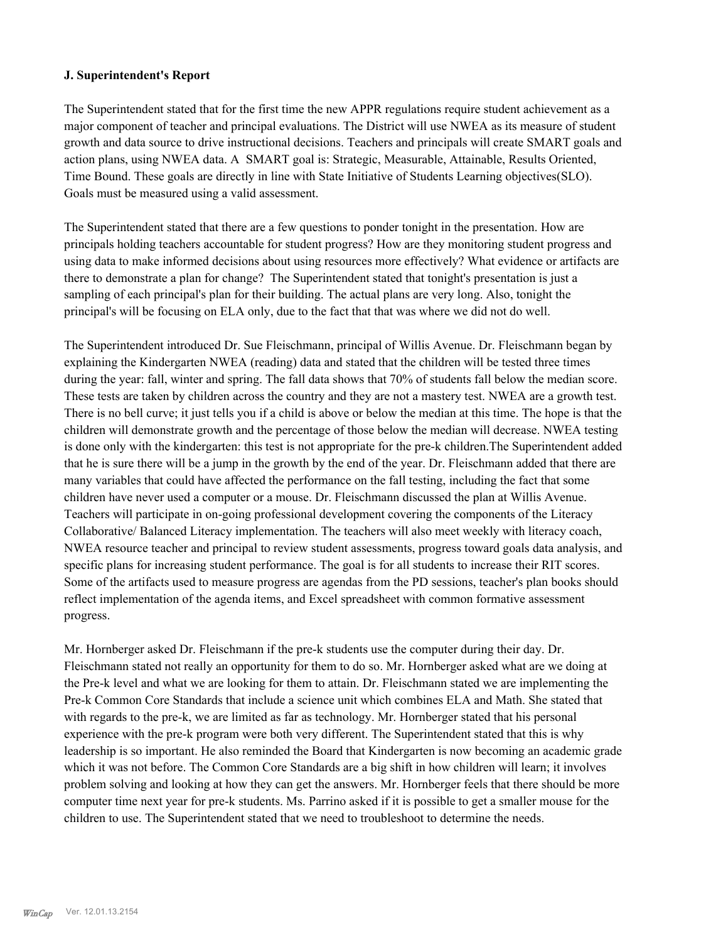### **J. Superintendent's Report**

The Superintendent stated that for the first time the new APPR regulations require student achievement as a major component of teacher and principal evaluations. The District will use NWEA as its measure of student growth and data source to drive instructional decisions. Teachers and principals will create SMART goals and action plans, using NWEA data. A SMART goal is: Strategic, Measurable, Attainable, Results Oriented, Time Bound. These goals are directly in line with State Initiative of Students Learning objectives(SLO). Goals must be measured using a valid assessment.

The Superintendent stated that there are a few questions to ponder tonight in the presentation. How are principals holding teachers accountable for student progress? How are they monitoring student progress and using data to make informed decisions about using resources more effectively? What evidence or artifacts are there to demonstrate a plan for change? The Superintendent stated that tonight's presentation is just a sampling of each principal's plan for their building. The actual plans are very long. Also, tonight the principal's will be focusing on ELA only, due to the fact that that was where we did not do well.

The Superintendent introduced Dr. Sue Fleischmann, principal of Willis Avenue. Dr. Fleischmann began by explaining the Kindergarten NWEA (reading) data and stated that the children will be tested three times during the year: fall, winter and spring. The fall data shows that 70% of students fall below the median score. These tests are taken by children across the country and they are not a mastery test. NWEA are a growth test. There is no bell curve; it just tells you if a child is above or below the median at this time. The hope is that the children will demonstrate growth and the percentage of those below the median will decrease. NWEA testing is done only with the kindergarten: this test is not appropriate for the pre-k children.The Superintendent added that he is sure there will be a jump in the growth by the end of the year. Dr. Fleischmann added that there are many variables that could have affected the performance on the fall testing, including the fact that some children have never used a computer or a mouse. Dr. Fleischmann discussed the plan at Willis Avenue. Teachers will participate in on-going professional development covering the components of the Literacy Collaborative/ Balanced Literacy implementation. The teachers will also meet weekly with literacy coach, NWEA resource teacher and principal to review student assessments, progress toward goals data analysis, and specific plans for increasing student performance. The goal is for all students to increase their RIT scores. Some of the artifacts used to measure progress are agendas from the PD sessions, teacher's plan books should reflect implementation of the agenda items, and Excel spreadsheet with common formative assessment progress.

Mr. Hornberger asked Dr. Fleischmann if the pre-k students use the computer during their day. Dr. Fleischmann stated not really an opportunity for them to do so. Mr. Hornberger asked what are we doing at the Pre-k level and what we are looking for them to attain. Dr. Fleischmann stated we are implementing the Pre-k Common Core Standards that include a science unit which combines ELA and Math. She stated that with regards to the pre-k, we are limited as far as technology. Mr. Hornberger stated that his personal experience with the pre-k program were both very different. The Superintendent stated that this is why leadership is so important. He also reminded the Board that Kindergarten is now becoming an academic grade which it was not before. The Common Core Standards are a big shift in how children will learn; it involves problem solving and looking at how they can get the answers. Mr. Hornberger feels that there should be more computer time next year for pre-k students. Ms. Parrino asked if it is possible to get a smaller mouse for the children to use. The Superintendent stated that we need to troubleshoot to determine the needs.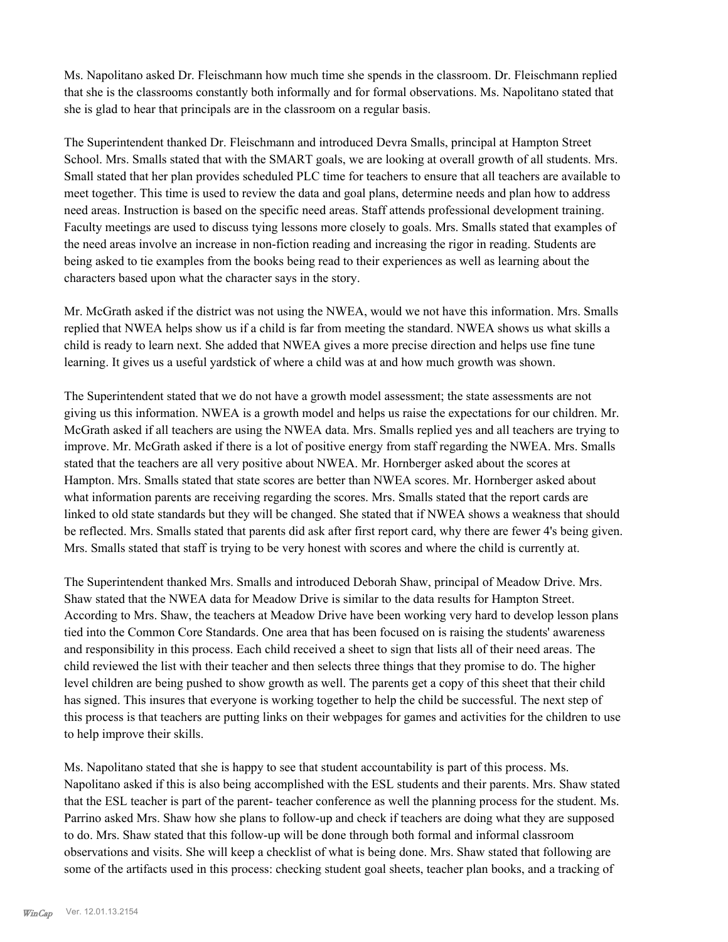Ms. Napolitano asked Dr. Fleischmann how much time she spends in the classroom. Dr. Fleischmann replied that she is the classrooms constantly both informally and for formal observations. Ms. Napolitano stated that she is glad to hear that principals are in the classroom on a regular basis.

The Superintendent thanked Dr. Fleischmann and introduced Devra Smalls, principal at Hampton Street School. Mrs. Smalls stated that with the SMART goals, we are looking at overall growth of all students. Mrs. Small stated that her plan provides scheduled PLC time for teachers to ensure that all teachers are available to meet together. This time is used to review the data and goal plans, determine needs and plan how to address need areas. Instruction is based on the specific need areas. Staff attends professional development training. Faculty meetings are used to discuss tying lessons more closely to goals. Mrs. Smalls stated that examples of the need areas involve an increase in non-fiction reading and increasing the rigor in reading. Students are being asked to tie examples from the books being read to their experiences as well as learning about the characters based upon what the character says in the story.

Mr. McGrath asked if the district was not using the NWEA, would we not have this information. Mrs. Smalls replied that NWEA helps show us if a child is far from meeting the standard. NWEA shows us what skills a child is ready to learn next. She added that NWEA gives a more precise direction and helps use fine tune learning. It gives us a useful yardstick of where a child was at and how much growth was shown.

The Superintendent stated that we do not have a growth model assessment; the state assessments are not giving us this information. NWEA is a growth model and helps us raise the expectations for our children. Mr. McGrath asked if all teachers are using the NWEA data. Mrs. Smalls replied yes and all teachers are trying to improve. Mr. McGrath asked if there is a lot of positive energy from staff regarding the NWEA. Mrs. Smalls stated that the teachers are all very positive about NWEA. Mr. Hornberger asked about the scores at Hampton. Mrs. Smalls stated that state scores are better than NWEA scores. Mr. Hornberger asked about what information parents are receiving regarding the scores. Mrs. Smalls stated that the report cards are linked to old state standards but they will be changed. She stated that if NWEA shows a weakness that should be reflected. Mrs. Smalls stated that parents did ask after first report card, why there are fewer 4's being given. Mrs. Smalls stated that staff is trying to be very honest with scores and where the child is currently at.

The Superintendent thanked Mrs. Smalls and introduced Deborah Shaw, principal of Meadow Drive. Mrs. Shaw stated that the NWEA data for Meadow Drive is similar to the data results for Hampton Street. According to Mrs. Shaw, the teachers at Meadow Drive have been working very hard to develop lesson plans tied into the Common Core Standards. One area that has been focused on is raising the students' awareness and responsibility in this process. Each child received a sheet to sign that lists all of their need areas. The child reviewed the list with their teacher and then selects three things that they promise to do. The higher level children are being pushed to show growth as well. The parents get a copy of this sheet that their child has signed. This insures that everyone is working together to help the child be successful. The next step of this process is that teachers are putting links on their webpages for games and activities for the children to use to help improve their skills.

Ms. Napolitano stated that she is happy to see that student accountability is part of this process. Ms. Napolitano asked if this is also being accomplished with the ESL students and their parents. Mrs. Shaw stated that the ESL teacher is part of the parent- teacher conference as well the planning process for the student. Ms. Parrino asked Mrs. Shaw how she plans to follow-up and check if teachers are doing what they are supposed to do. Mrs. Shaw stated that this follow-up will be done through both formal and informal classroom observations and visits. She will keep a checklist of what is being done. Mrs. Shaw stated that following are some of the artifacts used in this process: checking student goal sheets, teacher plan books, and a tracking of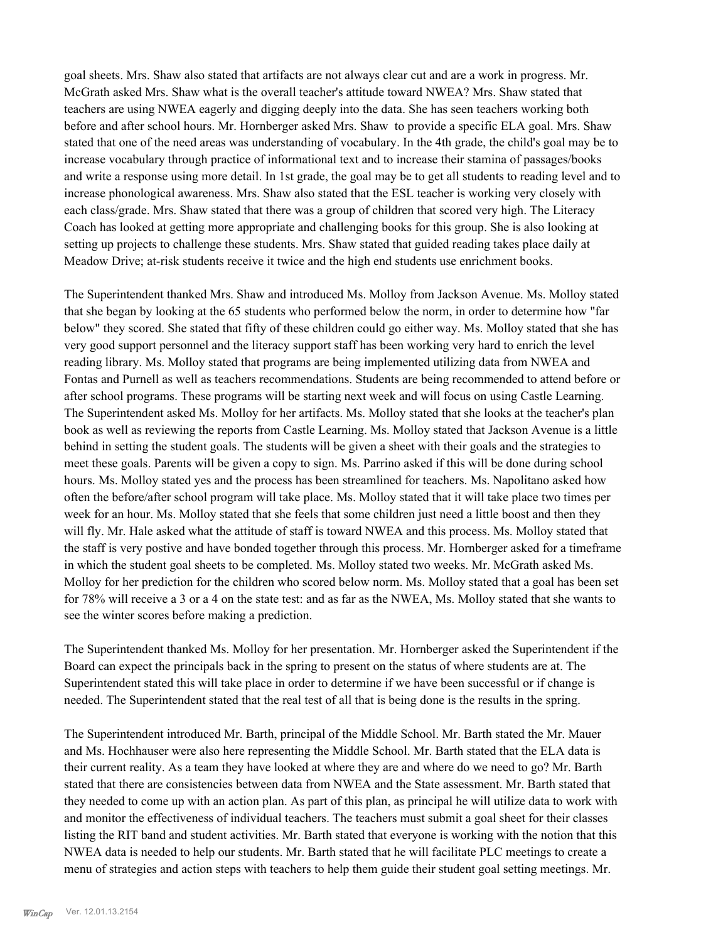goal sheets. Mrs. Shaw also stated that artifacts are not always clear cut and are a work in progress. Mr. McGrath asked Mrs. Shaw what is the overall teacher's attitude toward NWEA? Mrs. Shaw stated that teachers are using NWEA eagerly and digging deeply into the data. She has seen teachers working both before and after school hours. Mr. Hornberger asked Mrs. Shaw to provide a specific ELA goal. Mrs. Shaw stated that one of the need areas was understanding of vocabulary. In the 4th grade, the child's goal may be to increase vocabulary through practice of informational text and to increase their stamina of passages/books and write a response using more detail. In 1st grade, the goal may be to get all students to reading level and to increase phonological awareness. Mrs. Shaw also stated that the ESL teacher is working very closely with each class/grade. Mrs. Shaw stated that there was a group of children that scored very high. The Literacy Coach has looked at getting more appropriate and challenging books for this group. She is also looking at setting up projects to challenge these students. Mrs. Shaw stated that guided reading takes place daily at Meadow Drive; at-risk students receive it twice and the high end students use enrichment books.

The Superintendent thanked Mrs. Shaw and introduced Ms. Molloy from Jackson Avenue. Ms. Molloy stated that she began by looking at the 65 students who performed below the norm, in order to determine how "far below" they scored. She stated that fifty of these children could go either way. Ms. Molloy stated that she has very good support personnel and the literacy support staff has been working very hard to enrich the level reading library. Ms. Molloy stated that programs are being implemented utilizing data from NWEA and Fontas and Purnell as well as teachers recommendations. Students are being recommended to attend before or after school programs. These programs will be starting next week and will focus on using Castle Learning. The Superintendent asked Ms. Molloy for her artifacts. Ms. Molloy stated that she looks at the teacher's plan book as well as reviewing the reports from Castle Learning. Ms. Molloy stated that Jackson Avenue is a little behind in setting the student goals. The students will be given a sheet with their goals and the strategies to meet these goals. Parents will be given a copy to sign. Ms. Parrino asked if this will be done during school hours. Ms. Molloy stated yes and the process has been streamlined for teachers. Ms. Napolitano asked how often the before/after school program will take place. Ms. Molloy stated that it will take place two times per week for an hour. Ms. Molloy stated that she feels that some children just need a little boost and then they will fly. Mr. Hale asked what the attitude of staff is toward NWEA and this process. Ms. Molloy stated that the staff is very postive and have bonded together through this process. Mr. Hornberger asked for a timeframe in which the student goal sheets to be completed. Ms. Molloy stated two weeks. Mr. McGrath asked Ms. Molloy for her prediction for the children who scored below norm. Ms. Molloy stated that a goal has been set for 78% will receive a 3 or a 4 on the state test: and as far as the NWEA, Ms. Molloy stated that she wants to see the winter scores before making a prediction.

The Superintendent thanked Ms. Molloy for her presentation. Mr. Hornberger asked the Superintendent if the Board can expect the principals back in the spring to present on the status of where students are at. The Superintendent stated this will take place in order to determine if we have been successful or if change is needed. The Superintendent stated that the real test of all that is being done is the results in the spring.

The Superintendent introduced Mr. Barth, principal of the Middle School. Mr. Barth stated the Mr. Mauer and Ms. Hochhauser were also here representing the Middle School. Mr. Barth stated that the ELA data is their current reality. As a team they have looked at where they are and where do we need to go? Mr. Barth stated that there are consistencies between data from NWEA and the State assessment. Mr. Barth stated that they needed to come up with an action plan. As part of this plan, as principal he will utilize data to work with and monitor the effectiveness of individual teachers. The teachers must submit a goal sheet for their classes listing the RIT band and student activities. Mr. Barth stated that everyone is working with the notion that this NWEA data is needed to help our students. Mr. Barth stated that he will facilitate PLC meetings to create a menu of strategies and action steps with teachers to help them guide their student goal setting meetings. Mr.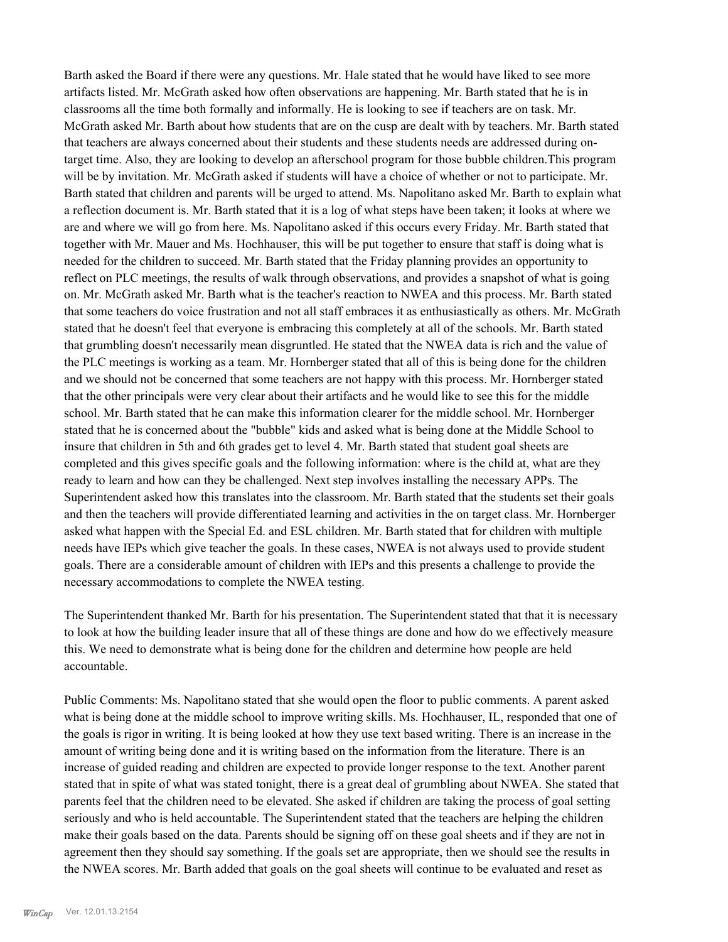Barth asked the Board if there were any questions. Mr. Hale stated that he would have liked to see more artifacts listed. Mr. McGrath asked how often observations are happening. Mr. Barth stated that he is in classrooms all the time both formally and informally. He is looking to see if teachers are on task. Mr. McGrath asked Mr. Barth about how students that are on the cusp are dealt with by teachers. Mr. Barth stated that teachers are always concerned about their students and these students needs are addressed during ontarget time. Also, they are looking to develop an afterschool program for those bubble children.This program will be by invitation. Mr. McGrath asked if students will have a choice of whether or not to participate. Mr. Barth stated that children and parents will be urged to attend. Ms. Napolitano asked Mr. Barth to explain what a reflection document is. Mr. Barth stated that it is a log of what steps have been taken; it looks at where we are and where we will go from here. Ms. Napolitano asked if this occurs every Friday. Mr. Barth stated that together with Mr. Mauer and Ms. Hochhauser, this will be put together to ensure that staff is doing what is needed for the children to succeed. Mr. Barth stated that the Friday planning provides an opportunity to reflect on PLC meetings, the results of walk through observations, and provides a snapshot of what is going on. Mr. McGrath asked Mr. Barth what is the teacher's reaction to NWEA and this process. Mr. Barth stated that some teachers do voice frustration and not all staff embraces it as enthusiastically as others. Mr. McGrath stated that he doesn't feel that everyone is embracing this completely at all of the schools. Mr. Barth stated that grumbling doesn't necessarily mean disgruntled. He stated that the NWEA data is rich and the value of the PLC meetings is working as a team. Mr. Hornberger stated that all of this is being done for the children and we should not be concerned that some teachers are not happy with this process. Mr. Hornberger stated that the other principals were very clear about their artifacts and he would like to see this for the middle school. Mr. Barth stated that he can make this information clearer for the middle school. Mr. Hornberger stated that he is concerned about the "bubble" kids and asked what is being done at the Middle School to insure that children in 5th and 6th grades get to level 4. Mr. Barth stated that student goal sheets are completed and this gives specific goals and the following information: where is the child at, what are they ready to learn and how can they be challenged. Next step involves installing the necessary APPs. The Superintendent asked how this translates into the classroom. Mr. Barth stated that the students set their goals and then the teachers will provide differentiated learning and activities in the on target class. Mr. Hornberger asked what happen with the Special Ed. and ESL children. Mr. Barth stated that for children with multiple needs have IEPs which give teacher the goals. In these cases, NWEA is not always used to provide student goals. There are a considerable amount of children with IEPs and this presents a challenge to provide the necessary accommodations to complete the NWEA testing.

The Superintendent thanked Mr. Barth for his presentation. The Superintendent stated that that it is necessary to look at how the building leader insure that all of these things are done and how do we effectively measure this. We need to demonstrate what is being done for the children and determine how people are held accountable.

Public Comments: Ms. Napolitano stated that she would open the floor to public comments. A parent asked what is being done at the middle school to improve writing skills. Ms. Hochhauser, IL, responded that one of the goals is rigor in writing. It is being looked at how they use text based writing. There is an increase in the amount of writing being done and it is writing based on the information from the literature. There is an increase of guided reading and children are expected to provide longer response to the text. Another parent stated that in spite of what was stated tonight, there is a great deal of grumbling about NWEA. She stated that parents feel that the children need to be elevated. She asked if children are taking the process of goal setting seriously and who is held accountable. The Superintendent stated that the teachers are helping the children make their goals based on the data. Parents should be signing off on these goal sheets and if they are not in agreement then they should say something. If the goals set are appropriate, then we should see the results in the NWEA scores. Mr. Barth added that goals on the goal sheets will continue to be evaluated and reset as